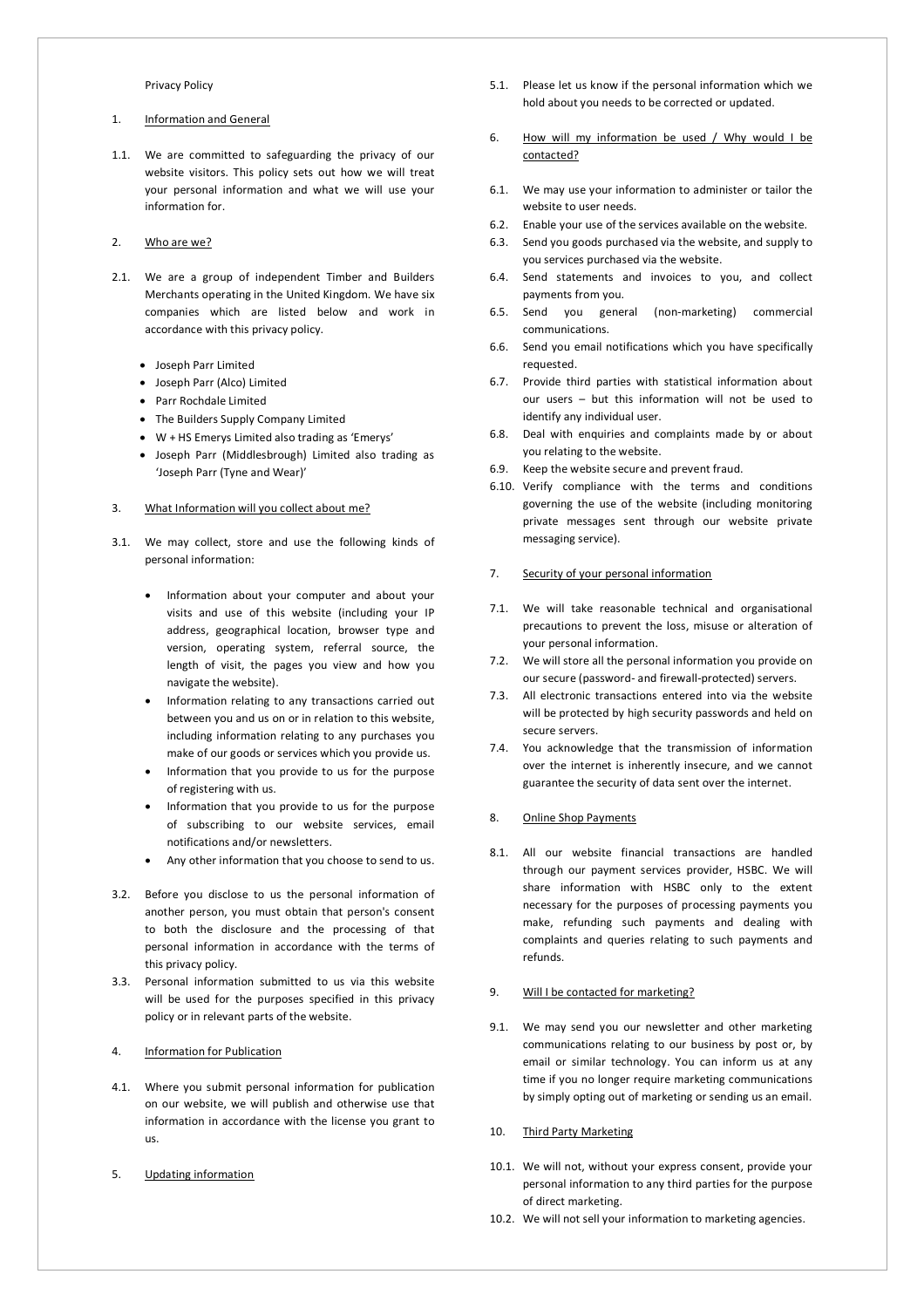#### Privacy Policy

# 1. Information and General

1.1. We are committed to safeguarding the privacy of our website visitors. This policy sets out how we will treat your personal information and what we will use your information for.

#### 2. Who are we?

- 2.1. We are a group of independent Timber and Builders Merchants operating in the United Kingdom. We have six companies which are listed below and work in accordance with this privacy policy.
	- Joseph Parr Limited
	- Joseph Parr (Alco) Limited
	- Parr Rochdale Limited
	- The Builders Supply Company Limited
	- W + HS Emerys Limited also trading as 'Emerys'
	- Joseph Parr (Middlesbrough) Limited also trading as 'Joseph Parr (Tyne and Wear)'
- 3. What Information will you collect about me?
- 3.1. We may collect, store and use the following kinds of personal information:
	- Information about your computer and about your visits and use of this website (including your IP address, geographical location, browser type and version, operating system, referral source, the length of visit, the pages you view and how you navigate the website).
	- Information relating to any transactions carried out between you and us on or in relation to this website, including information relating to any purchases you make of our goods or services which you provide us.
	- Information that you provide to us for the purpose of registering with us.
	- Information that you provide to us for the purpose of subscribing to our website services, email notifications and/or newsletters.
	- Any other information that you choose to send to us.
- 3.2. Before you disclose to us the personal information of another person, you must obtain that person's consent to both the disclosure and the processing of that personal information in accordance with the terms of this privacy policy.
- 3.3. Personal information submitted to us via this website will be used for the purposes specified in this privacy policy or in relevant parts of the website.

# 4. Information for Publication

- 4.1. Where you submit personal information for publication on our website, we will publish and otherwise use that information in accordance with the license you grant to us.
- 5. Updating information
- 5.1. Please let us know if the personal information which we hold about you needs to be corrected or updated.
- 6. How will my information be used / Why would I be contacted?
- 6.1. We may use your information to administer or tailor the website to user needs.
- 6.2. Enable your use of the services available on the website.
- 6.3. Send you goods purchased via the website, and supply to you services purchased via the website.
- 6.4. Send statements and invoices to you, and collect payments from you.
- 6.5. Send you general (non-marketing) commercial communications.
- 6.6. Send you email notifications which you have specifically requested.
- 6.7. Provide third parties with statistical information about our users – but this information will not be used to identify any individual user.
- 6.8. Deal with enquiries and complaints made by or about you relating to the website.
- 6.9. Keep the website secure and prevent fraud.
- 6.10. Verify compliance with the terms and conditions governing the use of the website (including monitoring private messages sent through our website private messaging service).

#### 7. Security of your personal information

- 7.1. We will take reasonable technical and organisational precautions to prevent the loss, misuse or alteration of your personal information.
- 7.2. We will store all the personal information you provide on our secure (password- and firewall-protected) servers.
- 7.3. All electronic transactions entered into via the website will be protected by high security passwords and held on secure servers.
- 7.4. You acknowledge that the transmission of information over the internet is inherently insecure, and we cannot guarantee the security of data sent over the internet.

#### 8. Online Shop Payments

8.1. All our website financial transactions are handled through our payment services provider, HSBC. We will share information with HSBC only to the extent necessary for the purposes of processing payments you make, refunding such payments and dealing with complaints and queries relating to such payments and refunds.

### 9. Will I be contacted for marketing?

9.1. We may send you our newsletter and other marketing communications relating to our business by post or, by email or similar technology. You can inform us at any time if you no longer require marketing communications by simply opting out of marketing or sending us an email.

#### 10. Third Party Marketing

- 10.1. We will not, without your express consent, provide your personal information to any third parties for the purpose of direct marketing.
- 10.2. We will not sell your information to marketing agencies.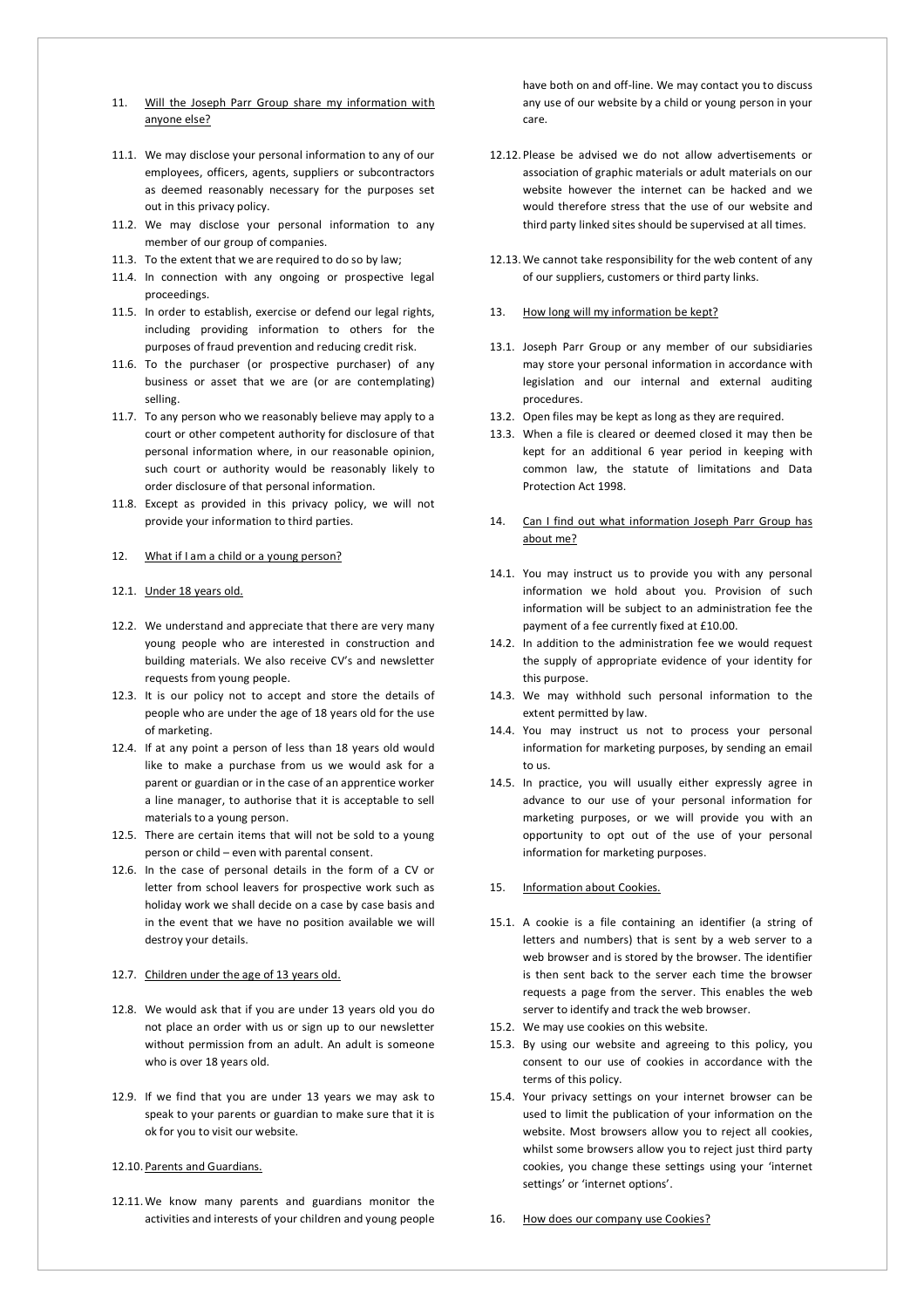- 11. Will the Joseph Parr Group share my information with anyone else?
- 11.1. We may disclose your personal information to any of our employees, officers, agents, suppliers or subcontractors as deemed reasonably necessary for the purposes set out in this privacy policy.
- 11.2. We may disclose your personal information to any member of our group of companies.
- 11.3. To the extent that we are required to do so by law;
- 11.4. In connection with any ongoing or prospective legal proceedings.
- 11.5. In order to establish, exercise or defend our legal rights, including providing information to others for the purposes of fraud prevention and reducing credit risk.
- 11.6. To the purchaser (or prospective purchaser) of any business or asset that we are (or are contemplating) selling.
- 11.7. To any person who we reasonably believe may apply to a court or other competent authority for disclosure of that personal information where, in our reasonable opinion, such court or authority would be reasonably likely to order disclosure of that personal information.
- 11.8. Except as provided in this privacy policy, we will not provide your information to third parties.

# 12. What if I am a child or a young person?

#### 12.1. Under 18 years old.

- 12.2. We understand and appreciate that there are very many young people who are interested in construction and building materials. We also receive CV's and newsletter requests from young people.
- 12.3. It is our policy not to accept and store the details of people who are under the age of 18 years old for the use of marketing.
- 12.4. If at any point a person of less than 18 years old would like to make a purchase from us we would ask for a parent or guardian or in the case of an apprentice worker a line manager, to authorise that it is acceptable to sell materials to a young person.
- 12.5. There are certain items that will not be sold to a young person or child – even with parental consent.
- 12.6. In the case of personal details in the form of a CV or letter from school leavers for prospective work such as holiday work we shall decide on a case by case basis and in the event that we have no position available we will destroy your details.

# 12.7. Children under the age of 13 years old.

- 12.8. We would ask that if you are under 13 years old you do not place an order with us or sign up to our newsletter without permission from an adult. An adult is someone who is over 18 years old.
- 12.9. If we find that you are under 13 years we may ask to speak to your parents or guardian to make sure that it is ok for you to visit our website.
- 12.10. Parents and Guardians.
- 12.11.We know many parents and guardians monitor the activities and interests of your children and young people

have both on and off-line. We may contact you to discuss any use of our website by a child or young person in your care.

- 12.12. Please be advised we do not allow advertisements or association of graphic materials or adult materials on our website however the internet can be hacked and we would therefore stress that the use of our website and third party linked sites should be supervised at all times.
- 12.13.We cannot take responsibility for the web content of any of our suppliers, customers or third party links.

### 13. How long will my information be kept?

- 13.1. Joseph Parr Group or any member of our subsidiaries may store your personal information in accordance with legislation and our internal and external auditing procedures.
- 13.2. Open files may be kept as long as they are required.
- 13.3. When a file is cleared or deemed closed it may then be kept for an additional 6 year period in keeping with common law, the statute of limitations and Data Protection Act 1998.
- 14. Can I find out what information Joseph Parr Group has about me?
- 14.1. You may instruct us to provide you with any personal information we hold about you. Provision of such information will be subject to an administration fee the payment of a fee currently fixed at £10.00.
- 14.2. In addition to the administration fee we would request the supply of appropriate evidence of your identity for this purpose.
- 14.3. We may withhold such personal information to the extent permitted by law.
- 14.4. You may instruct us not to process your personal information for marketing purposes, by sending an email to us.
- 14.5. In practice, you will usually either expressly agree in advance to our use of your personal information for marketing purposes, or we will provide you with an opportunity to opt out of the use of your personal information for marketing purposes.

#### 15. Information about Cookies.

- 15.1. A cookie is a file containing an identifier (a string of letters and numbers) that is sent by a web server to a web browser and is stored by the browser. The identifier is then sent back to the server each time the browser requests a page from the server. This enables the web server to identify and track the web browser.
- 15.2. We may use cookies on this website.
- 15.3. By using our website and agreeing to this policy, you consent to our use of cookies in accordance with the terms of this policy.
- 15.4. Your privacy settings on your internet browser can be used to limit the publication of your information on the website. Most browsers allow you to reject all cookies, whilst some browsers allow you to reject just third party cookies, you change these settings using your 'internet settings' or 'internet options'.
- 16. How does our company use Cookies?